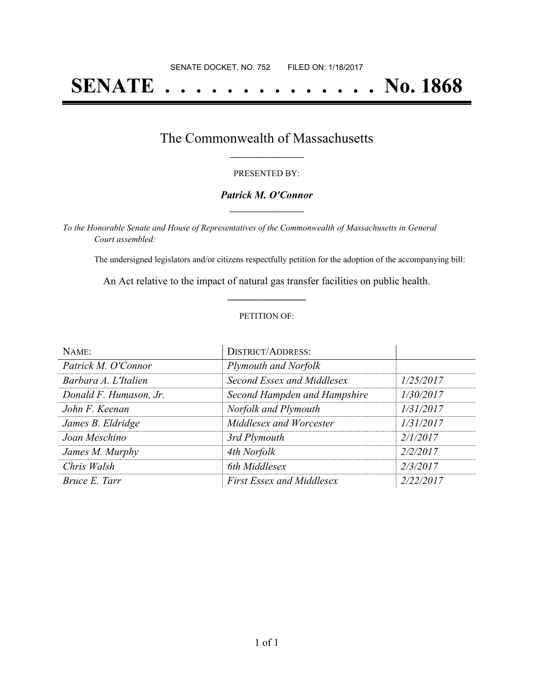# **SENATE . . . . . . . . . . . . . . No. 1868**

### The Commonwealth of Massachusetts **\_\_\_\_\_\_\_\_\_\_\_\_\_\_\_\_\_**

#### PRESENTED BY:

#### *Patrick M. O'Connor* **\_\_\_\_\_\_\_\_\_\_\_\_\_\_\_\_\_**

*To the Honorable Senate and House of Representatives of the Commonwealth of Massachusetts in General Court assembled:*

The undersigned legislators and/or citizens respectfully petition for the adoption of the accompanying bill:

An Act relative to the impact of natural gas transfer facilities on public health. **\_\_\_\_\_\_\_\_\_\_\_\_\_\_\_**

#### PETITION OF:

| NAME:                  | <b>DISTRICT/ADDRESS:</b>         |           |
|------------------------|----------------------------------|-----------|
| Patrick M. O'Connor    | Plymouth and Norfolk             |           |
| Barbara A. L'Italien   | Second Essex and Middlesex       | 1/25/2017 |
| Donald F. Humason, Jr. | Second Hampden and Hampshire     | 1/30/2017 |
| John F. Keenan         | Norfolk and Plymouth             | 1/31/2017 |
| James B. Eldridge      | Middlesex and Worcester          | 1/31/2017 |
| Joan Meschino          | 3rd Plymouth                     | 2/1/2017  |
| James M. Murphy        | 4th Norfolk                      | 2/2/2017  |
| Chris Walsh            | 6th Middlesex                    | 2/3/2017  |
| Bruce E. Tarr          | <b>First Essex and Middlesex</b> | 2/22/2017 |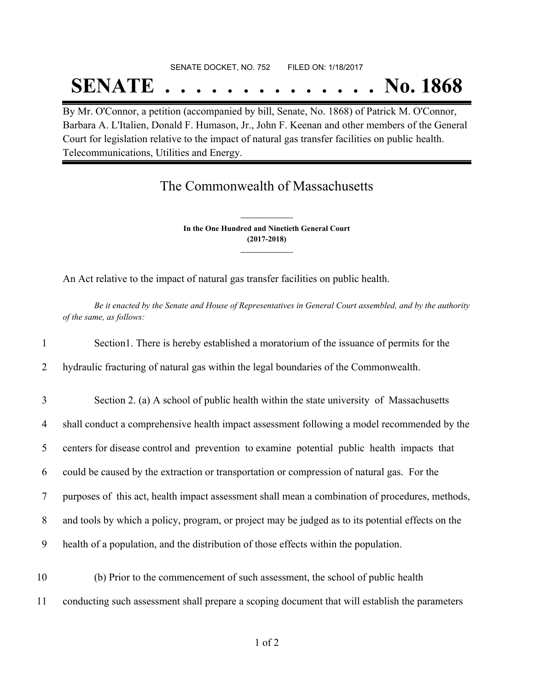# SENATE DOCKET, NO. 752 FILED ON: 1/18/2017 **SENATE . . . . . . . . . . . . . . No. 1868**

By Mr. O'Connor, a petition (accompanied by bill, Senate, No. 1868) of Patrick M. O'Connor, Barbara A. L'Italien, Donald F. Humason, Jr., John F. Keenan and other members of the General Court for legislation relative to the impact of natural gas transfer facilities on public health. Telecommunications, Utilities and Energy.

## The Commonwealth of Massachusetts

**In the One Hundred and Ninetieth General Court (2017-2018) \_\_\_\_\_\_\_\_\_\_\_\_\_\_\_**

**\_\_\_\_\_\_\_\_\_\_\_\_\_\_\_**

An Act relative to the impact of natural gas transfer facilities on public health.

Be it enacted by the Senate and House of Representatives in General Court assembled, and by the authority *of the same, as follows:*

 Section1. There is hereby established a moratorium of the issuance of permits for the hydraulic fracturing of natural gas within the legal boundaries of the Commonwealth. Section 2. (a) A school of public health within the state university of Massachusetts shall conduct a comprehensive health impact assessment following a model recommended by the

5 centers for disease control and prevention to examine potential public health impacts that

6 could be caused by the extraction or transportation or compression of natural gas. For the

7 purposes of this act, health impact assessment shall mean a combination of procedures, methods,

8 and tools by which a policy, program, or project may be judged as to its potential effects on the

9 health of a population, and the distribution of those effects within the population.

10 (b) Prior to the commencement of such assessment, the school of public health 11 conducting such assessment shall prepare a scoping document that will establish the parameters